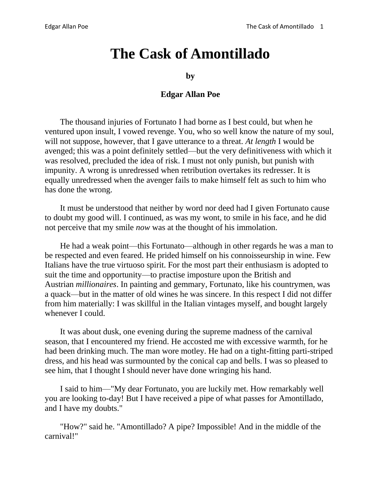## **The Cask of Amontillado**

**by**

## **Edgar Allan Poe**

The thousand injuries of Fortunato I had borne as I best could, but when he ventured upon insult, I vowed revenge. You, who so well know the nature of my soul, will not suppose, however, that I gave utterance to a threat. *At length* I would be avenged; this was a point definitely settled—but the very definitiveness with which it was resolved, precluded the idea of risk. I must not only punish, but punish with impunity. A wrong is unredressed when retribution overtakes its redresser. It is equally unredressed when the avenger fails to make himself felt as such to him who has done the wrong.

It must be understood that neither by word nor deed had I given Fortunato cause to doubt my good will. I continued, as was my wont, to smile in his face, and he did not perceive that my smile *now* was at the thought of his immolation.

He had a weak point—this Fortunato—although in other regards he was a man to be respected and even feared. He prided himself on his connoisseurship in wine. Few Italians have the true virtuoso spirit. For the most part their enthusiasm is adopted to suit the time and opportunity—to practise imposture upon the British and Austrian *millionaires*. In painting and gemmary, Fortunato, like his countrymen, was a quack—but in the matter of old wines he was sincere. In this respect I did not differ from him materially: I was skillful in the Italian vintages myself, and bought largely whenever I could.

It was about dusk, one evening during the supreme madness of the carnival season, that I encountered my friend. He accosted me with excessive warmth, for he had been drinking much. The man wore motley. He had on a tight-fitting parti-striped dress, and his head was surmounted by the conical cap and bells. I was so pleased to see him, that I thought I should never have done wringing his hand.

I said to him—"My dear Fortunato, you are luckily met. How remarkably well you are looking to-day! But I have received a pipe of what passes for Amontillado, and I have my doubts."

"How?" said he. "Amontillado? A pipe? Impossible! And in the middle of the carnival!"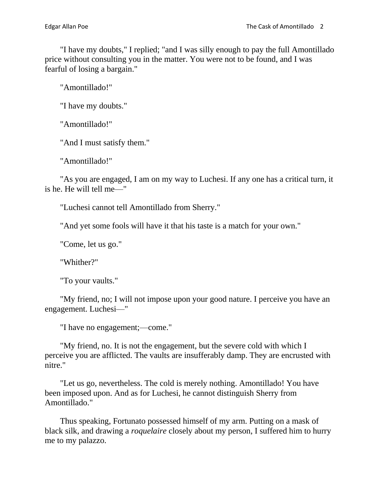"I have my doubts," I replied; "and I was silly enough to pay the full Amontillado price without consulting you in the matter. You were not to be found, and I was fearful of losing a bargain."

"Amontillado!"

"I have my doubts."

"Amontillado!"

"And I must satisfy them."

"Amontillado!"

"As you are engaged, I am on my way to Luchesi. If any one has a critical turn, it is he. He will tell me—"

"Luchesi cannot tell Amontillado from Sherry."

"And yet some fools will have it that his taste is a match for your own."

"Come, let us go."

"Whither?"

"To your vaults."

"My friend, no; I will not impose upon your good nature. I perceive you have an engagement. Luchesi—"

"I have no engagement;—come."

"My friend, no. It is not the engagement, but the severe cold with which I perceive you are afflicted. The vaults are insufferably damp. They are encrusted with nitre."

"Let us go, nevertheless. The cold is merely nothing. Amontillado! You have been imposed upon. And as for Luchesi, he cannot distinguish Sherry from Amontillado."

Thus speaking, Fortunato possessed himself of my arm. Putting on a mask of black silk, and drawing a *roquelaire* closely about my person, I suffered him to hurry me to my palazzo.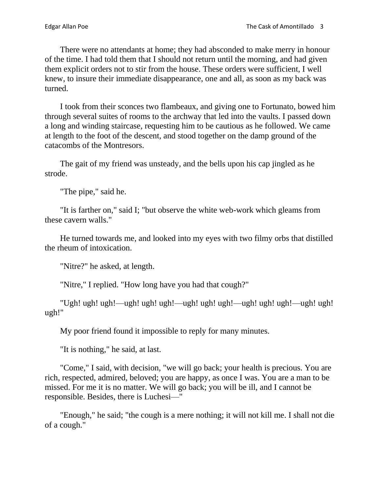There were no attendants at home; they had absconded to make merry in honour of the time. I had told them that I should not return until the morning, and had given them explicit orders not to stir from the house. These orders were sufficient, I well knew, to insure their immediate disappearance, one and all, as soon as my back was turned.

I took from their sconces two flambeaux, and giving one to Fortunato, bowed him through several suites of rooms to the archway that led into the vaults. I passed down a long and winding staircase, requesting him to be cautious as he followed. We came at length to the foot of the descent, and stood together on the damp ground of the catacombs of the Montresors.

The gait of my friend was unsteady, and the bells upon his cap jingled as he strode.

"The pipe," said he.

"It is farther on," said I; "but observe the white web-work which gleams from these cavern walls."

He turned towards me, and looked into my eyes with two filmy orbs that distilled the rheum of intoxication.

"Nitre?" he asked, at length.

"Nitre," I replied. "How long have you had that cough?"

"Ugh! ugh! ugh!—ugh! ugh! ugh!—ugh! ugh! ugh!—ugh! ugh! ugh!—ugh! ugh! ugh!"

My poor friend found it impossible to reply for many minutes.

"It is nothing," he said, at last.

"Come," I said, with decision, "we will go back; your health is precious. You are rich, respected, admired, beloved; you are happy, as once I was. You are a man to be missed. For me it is no matter. We will go back; you will be ill, and I cannot be responsible. Besides, there is Luchesi—"

"Enough," he said; "the cough is a mere nothing; it will not kill me. I shall not die of a cough."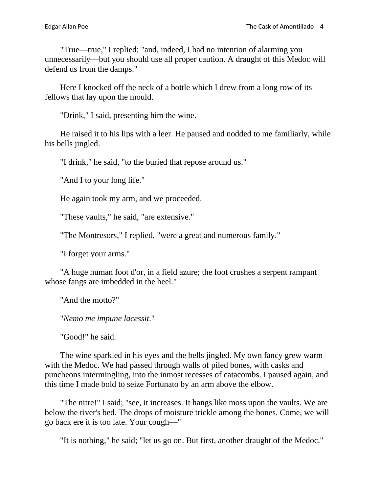"True—true," I replied; "and, indeed, I had no intention of alarming you unnecessarily—but you should use all proper caution. A draught of this Medoc will defend us from the damps."

Here I knocked off the neck of a bottle which I drew from a long row of its fellows that lay upon the mould.

"Drink," I said, presenting him the wine.

He raised it to his lips with a leer. He paused and nodded to me familiarly, while his bells jingled.

"I drink," he said, "to the buried that repose around us."

"And I to your long life."

He again took my arm, and we proceeded.

"These vaults," he said, "are extensive."

"The Montresors," I replied, "were a great and numerous family."

"I forget your arms."

"A huge human foot d'or, in a field azure; the foot crushes a serpent rampant whose fangs are imbedded in the heel."

"And the motto?"

"*Nemo me impune lacessit*."

"Good!" he said.

The wine sparkled in his eyes and the bells jingled. My own fancy grew warm with the Medoc. We had passed through walls of piled bones, with casks and puncheons intermingling, into the inmost recesses of catacombs. I paused again, and this time I made bold to seize Fortunato by an arm above the elbow.

"The nitre!" I said; "see, it increases. It hangs like moss upon the vaults. We are below the river's bed. The drops of moisture trickle among the bones. Come, we will go back ere it is too late. Your cough—"

"It is nothing," he said; "let us go on. But first, another draught of the Medoc."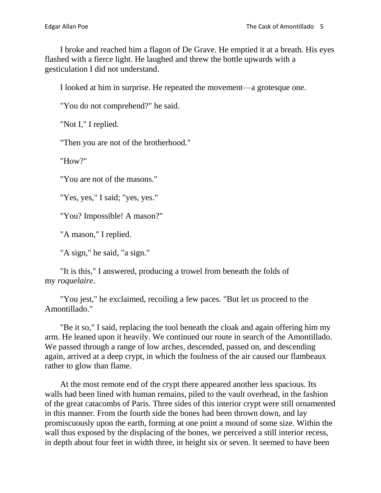I broke and reached him a flagon of De Grave. He emptied it at a breath. His eyes flashed with a fierce light. He laughed and threw the bottle upwards with a gesticulation I did not understand.

I looked at him in surprise. He repeated the movement—a grotesque one.

"You do not comprehend?" he said.

"Not I," I replied.

"Then you are not of the brotherhood."

"How?"

"You are not of the masons."

"Yes, yes," I said; "yes, yes."

"You? Impossible! A mason?"

"A mason," I replied.

"A sign," he said, "a sign."

"It is this," I answered, producing a trowel from beneath the folds of my *roquelaire*.

"You jest," he exclaimed, recoiling a few paces. "But let us proceed to the Amontillado."

"Be it so," I said, replacing the tool beneath the cloak and again offering him my arm. He leaned upon it heavily. We continued our route in search of the Amontillado. We passed through a range of low arches, descended, passed on, and descending again, arrived at a deep crypt, in which the foulness of the air caused our flambeaux rather to glow than flame.

At the most remote end of the crypt there appeared another less spacious. Its walls had been lined with human remains, piled to the vault overhead, in the fashion of the great catacombs of Paris. Three sides of this interior crypt were still ornamented in this manner. From the fourth side the bones had been thrown down, and lay promiscuously upon the earth, forming at one point a mound of some size. Within the wall thus exposed by the displacing of the bones, we perceived a still interior recess, in depth about four feet in width three, in height six or seven. It seemed to have been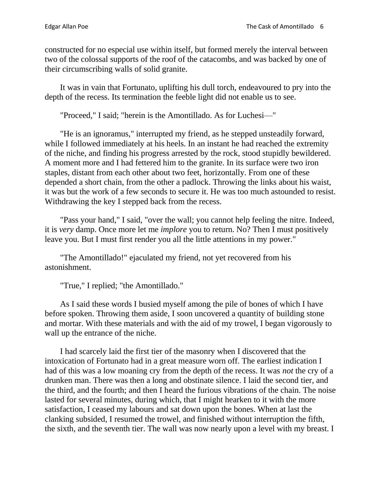constructed for no especial use within itself, but formed merely the interval between two of the colossal supports of the roof of the catacombs, and was backed by one of their circumscribing walls of solid granite.

It was in vain that Fortunato, uplifting his dull torch, endeavoured to pry into the depth of the recess. Its termination the feeble light did not enable us to see.

"Proceed," I said; "herein is the Amontillado. As for Luchesi—"

"He is an ignoramus," interrupted my friend, as he stepped unsteadily forward, while I followed immediately at his heels. In an instant he had reached the extremity of the niche, and finding his progress arrested by the rock, stood stupidly bewildered. A moment more and I had fettered him to the granite. In its surface were two iron staples, distant from each other about two feet, horizontally. From one of these depended a short chain, from the other a padlock. Throwing the links about his waist, it was but the work of a few seconds to secure it. He was too much astounded to resist. Withdrawing the key I stepped back from the recess.

"Pass your hand," I said, "over the wall; you cannot help feeling the nitre. Indeed, it is *very* damp. Once more let me *implore* you to return. No? Then I must positively leave you. But I must first render you all the little attentions in my power."

"The Amontillado!" ejaculated my friend, not yet recovered from his astonishment.

"True," I replied; "the Amontillado."

As I said these words I busied myself among the pile of bones of which I have before spoken. Throwing them aside, I soon uncovered a quantity of building stone and mortar. With these materials and with the aid of my trowel, I began vigorously to wall up the entrance of the niche.

I had scarcely laid the first tier of the masonry when I discovered that the intoxication of Fortunato had in a great measure worn off. The earliest indication I had of this was a low moaning cry from the depth of the recess. It was *not* the cry of a drunken man. There was then a long and obstinate silence. I laid the second tier, and the third, and the fourth; and then I heard the furious vibrations of the chain. The noise lasted for several minutes, during which, that I might hearken to it with the more satisfaction, I ceased my labours and sat down upon the bones. When at last the clanking subsided, I resumed the trowel, and finished without interruption the fifth, the sixth, and the seventh tier. The wall was now nearly upon a level with my breast. I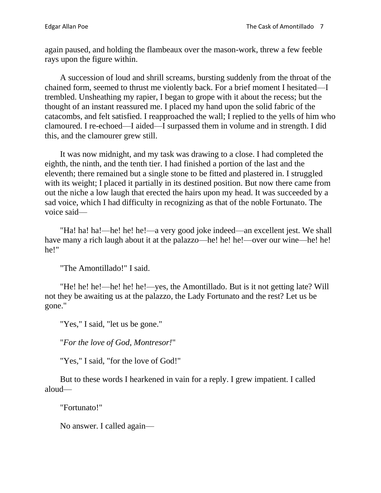again paused, and holding the flambeaux over the mason-work, threw a few feeble rays upon the figure within.

A succession of loud and shrill screams, bursting suddenly from the throat of the chained form, seemed to thrust me violently back. For a brief moment I hesitated—I trembled. Unsheathing my rapier, I began to grope with it about the recess; but the thought of an instant reassured me. I placed my hand upon the solid fabric of the catacombs, and felt satisfied. I reapproached the wall; I replied to the yells of him who clamoured. I re-echoed—I aided—I surpassed them in volume and in strength. I did this, and the clamourer grew still.

It was now midnight, and my task was drawing to a close. I had completed the eighth, the ninth, and the tenth tier. I had finished a portion of the last and the eleventh; there remained but a single stone to be fitted and plastered in. I struggled with its weight; I placed it partially in its destined position. But now there came from out the niche a low laugh that erected the hairs upon my head. It was succeeded by a sad voice, which I had difficulty in recognizing as that of the noble Fortunato. The voice said—

"Ha! ha! ha!—he! he! he!—a very good joke indeed—an excellent jest. We shall have many a rich laugh about it at the palazzo—he! he! he!—over our wine—he! he! he!"

"The Amontillado!" I said.

"He! he! he!—he! he! he!—yes, the Amontillado. But is it not getting late? Will not they be awaiting us at the palazzo, the Lady Fortunato and the rest? Let us be gone."

"Yes," I said, "let us be gone."

"*For the love of God, Montresor!*"

"Yes," I said, "for the love of God!"

But to these words I hearkened in vain for a reply. I grew impatient. I called aloud—

"Fortunato!"

No answer. I called again—